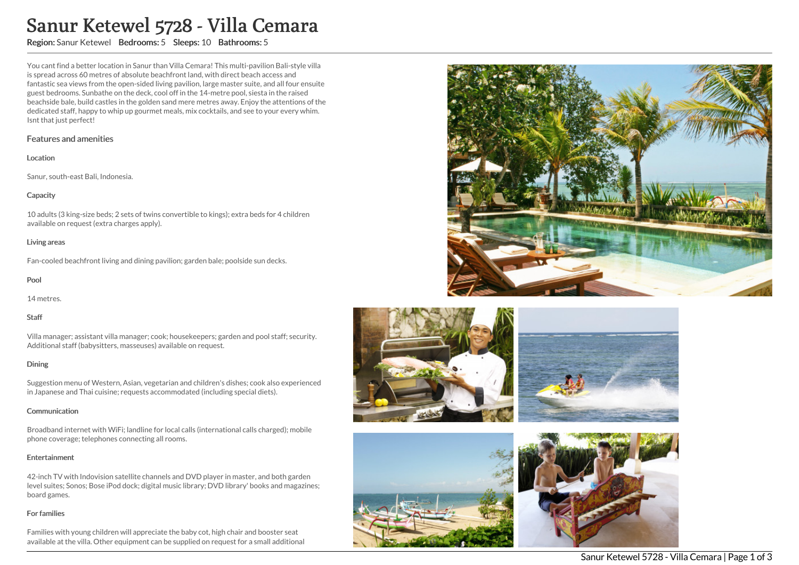# Sanur Ketewel 5728 - Villa Cemara

# Region: Sanur Ketewel Bedrooms: 5 Sleeps: 10 Bathrooms: 5

You cant find a better location in Sanur than Villa Cemara! This multi-pavilion Bali-style villa is spread across 60 metres of absolute beachfront land, with direct beach access and fantastic sea views from the open-sided living pavilion, large master suite, and all four ensuite guest bedrooms. Sunbathe on the deck, cool off in the 14-metre pool, siesta in the raised beachside bale, build castles in the golden sand mere metres away. Enjoy the attentions of the dedicated staff, happy to whip up gourmet meals, mix cocktails, and see to your every whim. Isnt that just perfect!

## Features and amenities

#### Location

Sanur, south-east Bali, Indonesia.

## **Capacity**

10 adults (3 king-size beds; 2 sets of twins convertible to kings); extra beds for 4 children available on request (extra charges apply).

## Living areas

Fan-cooled beachfront living and dining pavilion; garden bale; poolside sun decks.

## Pool

14 metres.

## Staff

Villa manager; assistant villa manager; cook; housekeepers; garden and pool staff; security. Additional staff (babysitters, masseuses) available on request.

## Dining

Suggestion menu of Western, Asian, vegetarian and children's dishes; cook also experienced in Japanese and Thai cuisine; requests accommodated (including special diets).

## **Communication**

Broadband internet with WiFi; landline for local calls (international calls charged); mobile phone coverage; telephones connecting all rooms.

## Entertainment

42-inch TV with Indovision satellite channels and DVD player in master, and both garden level suites; Sonos; Bose iPod dock; digital music library; DVD library' books and magazines; board games.

## For families

Families with young children will appreciate the baby cot, high chair and booster seat available at the villa. Other equipment can be supplied on request for a small additional









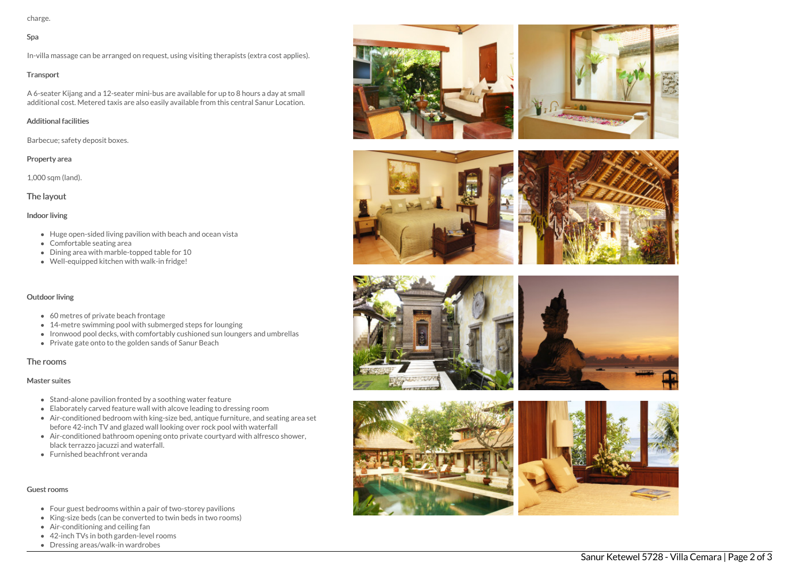charge.

## Spa

In-villa massage can be arranged on request, using visiting therapists (extra cost applies).

#### **Transport**

A 6-seater Kijang and a 12-seater mini-bus are available for up to 8 hours a day at small additional cost. Metered taxis are also easily available from this central Sanur Location.

## Additional facilities

Barbecue; safety deposit boxes.

## Property area

1,000 sqm (land).

## The layout

## Indoor living

- Huge open-sided living pavilion with beach and ocean vista
- Comfortable seating area
- Dining area with marble-topped table for 10
- Well-equipped kitchen with walk-in fridge!

## Outdoor living

- 60 metres of private beach frontage
- 14-metre swimming pool with submerged steps for lounging
- Ironwood pool decks, with comfortably cushioned sun loungers and umbrellas
- Private gate onto to the golden sands of Sanur Beach

## The rooms

## Master suites

- Stand-alone pavilion fronted by a soothing water feature
- Elaborately carved feature wall with alcove leading to dressing room
- Air-conditioned bedroom with king-size bed, antique furniture, and seating area set before 42-inch TV and glazed wall looking over rock pool with waterfall
- Air-conditioned bathroom opening onto private courtyard with alfresco shower, black terrazzo jacuzzi and waterfall.
- Furnished beachfront veranda

## Guest rooms

- Four guest bedrooms within a pair of two-storey pavilions
- King-size beds (can be converted to twin beds in two rooms)
- Air-conditioning and ceiling fan
- 42-inch TVs in both garden-level rooms
- Dressing areas/walk-in wardrobes